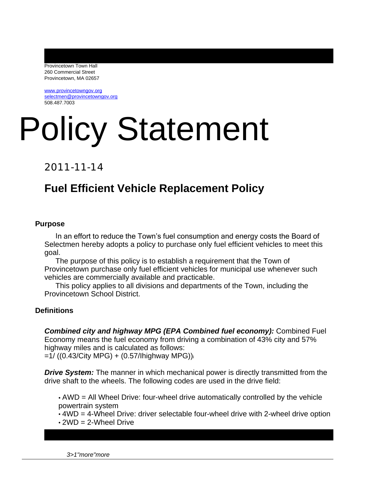Provincetown Town Hall 260 Commercial Street Provincetown, MA 02657

[www.provincetowngov.org](http://www.provincetowngov.org) [selectmen@provincetowngov.org](mailto:selectmen@provincetowngov.org) 508.487.7003

# Policy Statement

2011-11-14

# **Fuel Efficient Vehicle Replacement Policy**

#### **Purpose**

In an effort to reduce the Town's fuel consumption and energy costs the Board of Selectmen hereby adopts a policy to purchase only fuel efficient vehicles to meet this goal.

The purpose of this policy is to establish a requirement that the Town of Provincetown purchase only fuel efficient vehicles for municipal use whenever such vehicles are commercially available and practicable.

This policy applies to all divisions and departments of the Town, including the Provincetown School District.

#### **Definitions**

*Combined city and highway MPG (EPA Combined fuel economy):* Combined Fuel Economy means the fuel economy from driving a combination of 43% city and 57% highway miles and is calculated as follows:  $=1/$  ((0.43/City MPG) + (0.57/Ihighway MPG))

*Drive System:* The manner in which mechanical power is directly transmitted from the drive shaft to the wheels. The following codes are used in the drive field:

• AWD = All Wheel Drive: four-wheel drive automatically controlled by the vehicle powertrain system

• 4WD = 4-Wheel Drive: driver selectable four-wheel drive with 2-wheel drive option

 $\cdot$  2WD = 2-Wheel Drive

*3>1"more"more*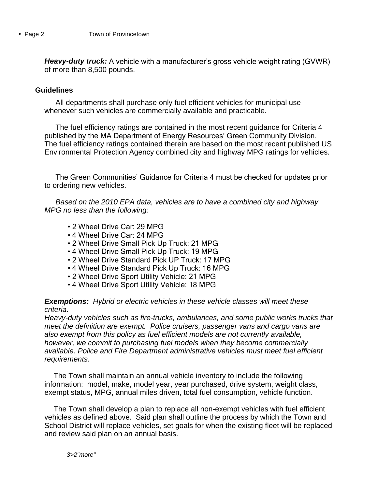*Heavy-duty truck:* A vehicle with a manufacturer's gross vehicle weight rating (GVWR) of more than 8,500 pounds.

### **Guidelines**

All departments shall purchase only fuel efficient vehicles for municipal use whenever such vehicles are commercially available and practicable.

The fuel efficiency ratings are contained in the most recent guidance for Criteria 4 published by the MA Department of Energy Resources' Green Community Division. The fuel efficiency ratings contained therein are based on the most recent published US Environmental Protection Agency combined city and highway MPG ratings for vehicles.

The Green Communities' Guidance for Criteria 4 must be checked for updates prior to ordering new vehicles.

*Based on the 2010 EPA data, vehicles are to have a combined city and highway MPG no less than the following:*

- 2 Wheel Drive Car: 29 MPG
- 4 Wheel Drive Car: 24 MPG
- 2 Wheel Drive Small Pick Up Truck: 21 MPG
- 4 Wheel Drive Small Pick Up Truck: 19 MPG
- 2 Wheel Drive Standard Pick UP Truck: 17 MPG
- 4 Wheel Drive Standard Pick Up Truck: 16 MPG
- 2 Wheel Drive Sport Utility Vehicle: 21 MPG
- 4 Wheel Drive Sport Utility Vehicle: 18 MPG

#### *Exemptions: Hybrid or electric vehicles in these vehicle classes will meet these criteria.*

*Heavy-duty vehicles such as fire-trucks, ambulances, and some public works trucks that meet the definition are exempt. Police cruisers, passenger vans and cargo vans are also exempt from this policy as fuel efficient models are not currently available, however, we commit to purchasing fuel models when they become commercially available. Police and Fire Department administrative vehicles must meet fuel efficient requirements.*

The Town shall maintain an annual vehicle inventory to include the following information: model, make, model year, year purchased, drive system, weight class, exempt status, MPG, annual miles driven, total fuel consumption, vehicle function.

The Town shall develop a plan to replace all non-exempt vehicles with fuel efficient vehicles as defined above. Said plan shall outline the process by which the Town and School District will replace vehicles, set goals for when the existing fleet will be replaced and review said plan on an annual basis.